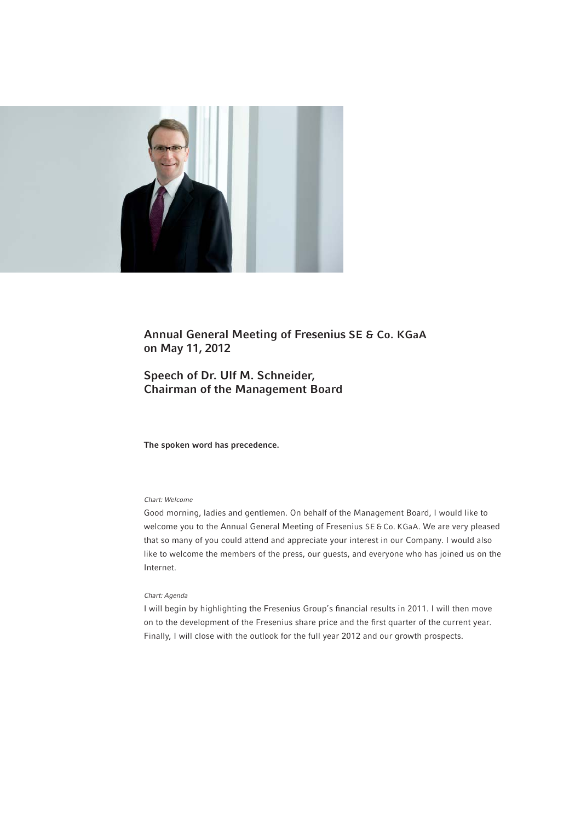

# Annual General Meeting of Fresenius SE & Co. KGaA on May 11, 2012

# Speech of Dr. Ulf M. Schneider, Chairman of the Management Board

The spoken word has precedence.

## Chart: Welcome

Good morning, ladies and gentlemen. On behalf of the Management Board, I would like to welcome you to the Annual General Meeting of Fresenius SE & Co. KGaA. We are very pleased that so many of you could attend and appreciate your interest in our Company. I would also like to welcome the members of the press, our guests, and everyone who has joined us on the Internet.

#### Chart: Agenda

I will begin by highlighting the Fresenius Group's financial results in 2011. I will then move on to the development of the Fresenius share price and the first quarter of the current year. Finally, I will close with the outlook for the full year 2012 and our growth prospects.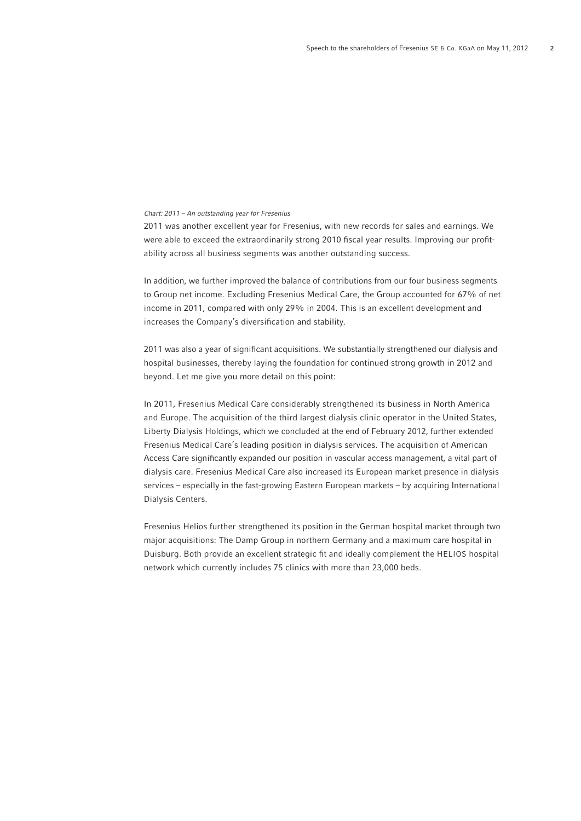#### Chart: 2011 – An outstanding year for Fresenius

2011 was another excellent year for Fresenius, with new records for sales and earnings. We were able to exceed the extraordinarily strong 2010 fiscal year results. Improving our profitability across all business segments was another outstanding success.

In addition, we further improved the balance of contributions from our four business segments to Group net income. Excluding Fresenius Medical Care, the Group accounted for 67% of net income in 2011, compared with only 29% in 2004. This is an excellent development and increases the Company's diversification and stability.

2011 was also a year of significant acquisitions. We substantially strengthened our dialysis and hospital businesses, thereby laying the foundation for continued strong growth in 2012 and beyond. Let me give you more detail on this point:

In 2011, Fresenius Medical Care considerably strengthened its business in North America and Europe. The acquisition of the third largest dialysis clinic operator in the United States, Liberty Dialysis Holdings, which we concluded at the end of February 2012, further extended Fresenius Medical Care's leading position in dialysis services. The acquisition of American Access Care significantly expanded our position in vascular access management, a vital part of dialysis care. Fresenius Medical Care also increased its European market presence in dialysis services – especially in the fast-growing Eastern European markets – by acquiring International Dialysis Centers.

Fresenius Helios further strengthened its position in the German hospital market through two major acquisitions: The Damp Group in northern Germany and a maximum care hospital in Duisburg. Both provide an excellent strategic fi t and ideally complement the HELIOS hospital network which currently includes 75 clinics with more than 23,000 beds.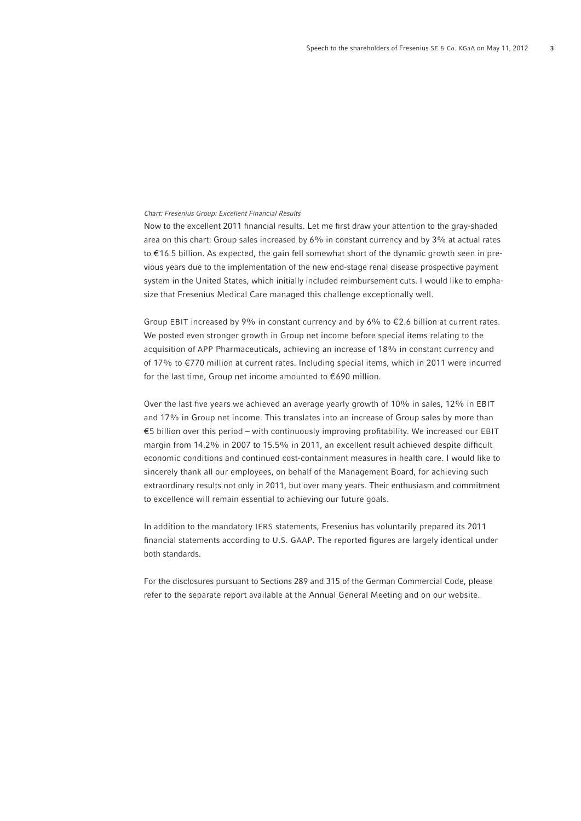### Chart: Fresenius Group: Excellent Financial Results

Now to the excellent 2011 financial results. Let me first draw your attention to the gray-shaded area on this chart: Group sales increased by 6% in constant currency and by 3% at actual rates to € 16.5 billion. As expected, the gain fell somewhat short of the dynamic growth seen in previous years due to the implementation of the new end-stage renal disease prospective payment system in the United States, which initially included reimbursement cuts. I would like to emphasize that Fresenius Medical Care managed this challenge exceptionally well.

Group EBIT increased by 9% in constant currency and by 6% to  $\epsilon$ 2.6 billion at current rates. We posted even stronger growth in Group net income before special items relating to the acquisition of APP Pharmaceuticals, achieving an increase of 18% in constant currency and of 17% to €770 million at current rates. Including special items, which in 2011 were incurred for the last time, Group net income amounted to  $€690$  million.

Over the last five years we achieved an average yearly growth of 10% in sales, 12% in EBIT and 17% in Group net income. This translates into an increase of Group sales by more than € 5 billion over this period – with continuously improving profi tability. We increased our EBIT margin from 14.2% in 2007 to 15.5% in 2011, an excellent result achieved despite difficult economic conditions and continued cost-containment measures in health care. I would like to sincerely thank all our employees, on behalf of the Management Board, for achieving such extraordinary results not only in 2011, but over many years. Their enthusiasm and commitment to excellence will remain essential to achieving our future goals.

In addition to the mandatory IFRS statements, Fresenius has voluntarily prepared its 2011 financial statements according to U.S. GAAP. The reported figures are largely identical under both standards.

For the disclosures pursuant to Sections 289 and 315 of the German Commercial Code, please refer to the separate report available at the Annual General Meeting and on our website.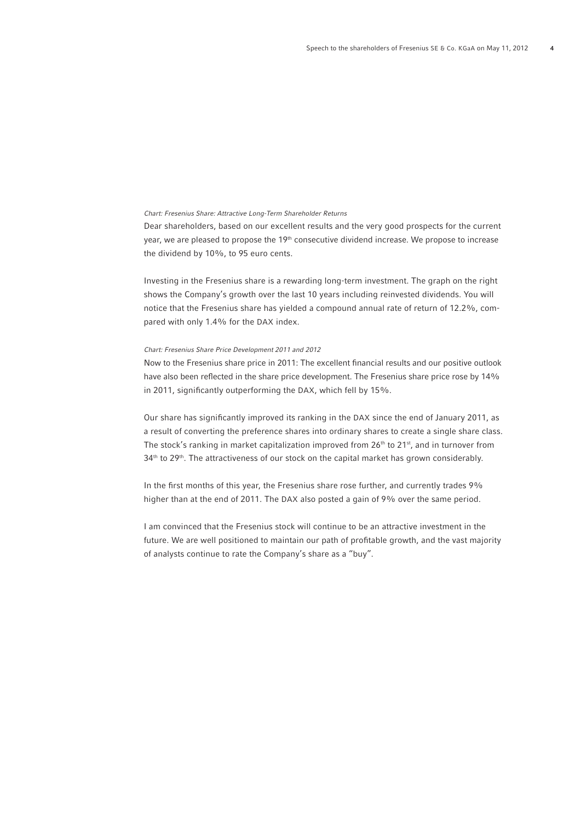## Chart: Fresenius Share: Attractive Long-Term Shareholder Returns

Dear shareholders, based on our excellent results and the very good prospects for the current year, we are pleased to propose the 19<sup>th</sup> consecutive dividend increase. We propose to increase the dividend by 10%, to 95 euro cents.

Investing in the Fresenius share is a rewarding long-term investment. The graph on the right shows the Company's growth over the last 10 years including reinvested dividends. You will notice that the Fresenius share has yielded a compound annual rate of return of 12.2%, compared with only 1.4% for the DAX index.

#### Chart: Fresenius Share Price Development 2011 and 2012

Now to the Fresenius share price in 2011: The excellent financial results and our positive outlook have also been reflected in the share price development. The Fresenius share price rose by 14% in 2011, significantly outperforming the DAX, which fell by 15%.

Our share has significantly improved its ranking in the DAX since the end of January 2011, as a result of converting the preference shares into ordinary shares to create a single share class. The stock's ranking in market capitalization improved from  $26<sup>th</sup>$  to  $21<sup>st</sup>$ , and in turnover from 34<sup>th</sup> to 29<sup>th</sup>. The attractiveness of our stock on the capital market has grown considerably.

In the first months of this year, the Fresenius share rose further, and currently trades 9% higher than at the end of 2011. The DAX also posted a gain of 9% over the same period.

I am convinced that the Fresenius stock will continue to be an attractive investment in the future. We are well positioned to maintain our path of profitable growth, and the vast majority of analysts continue to rate the Company's share as a "buy".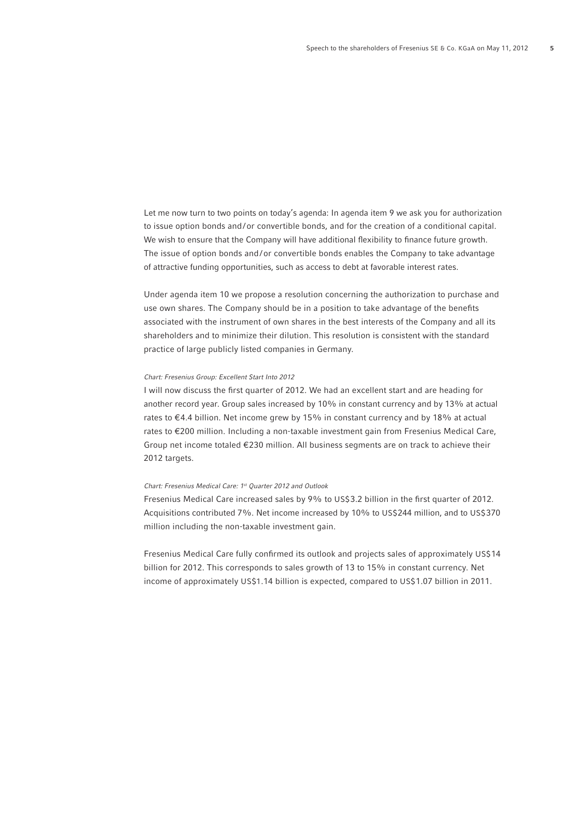Let me now turn to two points on today's agenda: In agenda item 9 we ask you for authorization to issue option bonds and/or convertible bonds, and for the creation of a conditional capital. We wish to ensure that the Company will have additional flexibility to finance future growth. The issue of option bonds and/or convertible bonds enables the Company to take advantage of attractive funding opportunities, such as access to debt at favorable interest rates.

Under agenda item 10 we propose a resolution concerning the authorization to purchase and use own shares. The Company should be in a position to take advantage of the benefits associated with the instrument of own shares in the best interests of the Company and all its shareholders and to minimize their dilution. This resolution is consistent with the standard practice of large publicly listed companies in Germany.

#### Chart: Fresenius Group: Excellent Start Into 2012

I will now discuss the first quarter of 2012. We had an excellent start and are heading for another record year. Group sales increased by 10% in constant currency and by 13% at actual rates to  $\epsilon$ 4.4 billion. Net income grew by 15% in constant currency and by 18% at actual rates to €200 million. Including a non-taxable investment gain from Fresenius Medical Care, Group net income totaled € 230 million. All business segments are on track to achieve their 2012 targets.

## Chart: Fresenius Medical Care: 1st Quarter 2012 and Outlook

Fresenius Medical Care increased sales by 9% to US\$3.2 billion in the first quarter of 2012. Acquisitions contributed 7%. Net income increased by 10% to US\$244 million, and to US\$370 million including the non-taxable investment gain.

Fresenius Medical Care fully confirmed its outlook and projects sales of approximately US\$14 billion for 2012. This corresponds to sales growth of 13 to 15% in constant currency. Net income of approximately US\$1.14 billion is expected, compared to US\$ 1.07 billion in 2011.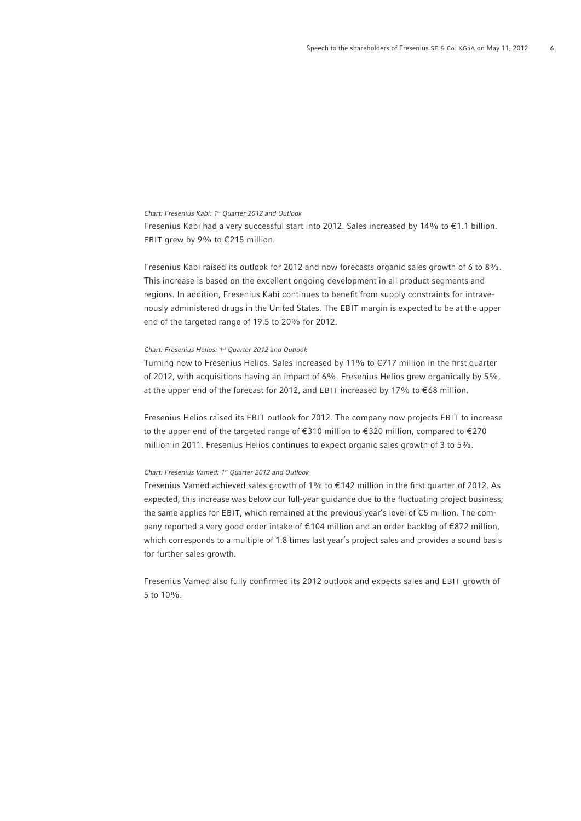Chart: Fresenius Kabi: 1st Quarter 2012 and Outlook

Fresenius Kabi had a very successful start into 2012. Sales increased by 14% to € 1.1 billion. EBIT grew by 9% to  $E$ 215 million.

Fresenius Kabi raised its outlook for 2012 and now forecasts organic sales growth of 6 to 8%. This increase is based on the excellent ongoing development in all product segments and regions. In addition, Fresenius Kabi continues to benefit from supply constraints for intravenously administered drugs in the United States. The EBIT margin is expected to be at the upper end of the targeted range of 19.5 to 20% for 2012.

#### Chart: Fresenius Helios: 1st Quarter 2012 and Outlook

Turning now to Fresenius Helios. Sales increased by 11% to  $\epsilon$ 717 million in the first quarter of 2012, with acquisitions having an impact of 6%. Fresenius Helios grew organically by 5%, at the upper end of the forecast for 2012, and EBIT increased by 17% to €68 million.

Fresenius Helios raised its EBIT outlook for 2012. The company now projects EBIT to increase to the upper end of the targeted range of €310 million to €320 million, compared to €270 million in 2011. Fresenius Helios continues to expect organic sales growth of 3 to 5%.

#### Chart: Fresenius Vamed: 1st Quarter 2012 and Outlook

Fresenius Vamed achieved sales growth of 1% to  $\epsilon$ 142 million in the first quarter of 2012. As expected, this increase was below our full-year guidance due to the fluctuating project business; the same applies for EBIT, which remained at the previous year's level of  $\epsilon$ 5 million. The company reported a very good order intake of €104 million and an order backlog of €872 million, which corresponds to a multiple of 1.8 times last year's project sales and provides a sound basis for further sales growth.

Fresenius Vamed also fully confirmed its 2012 outlook and expects sales and EBIT growth of 5 to 10%.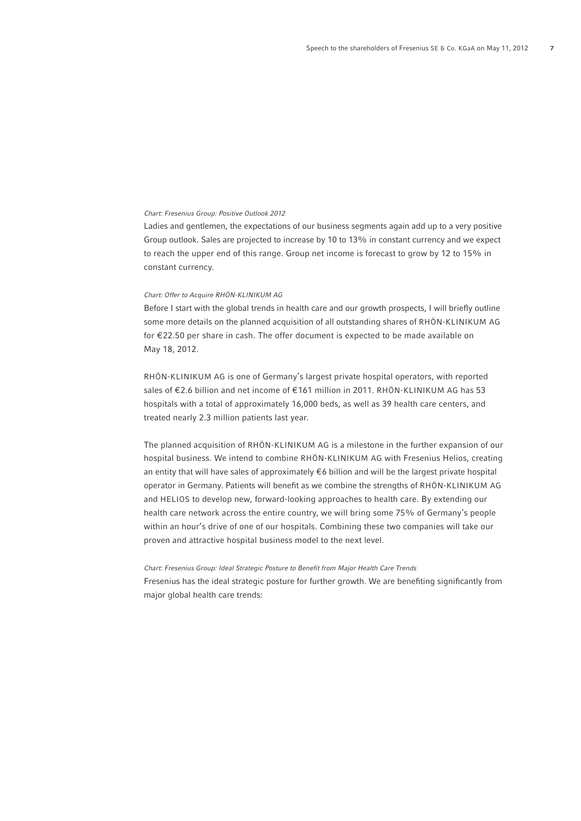### Chart: Fresenius Group: Positive Outlook 2012

Ladies and gentlemen, the expectations of our business segments again add up to a very positive Group outlook. Sales are projected to increase by 10 to 13% in constant currency and we expect to reach the upper end of this range. Group net income is forecast to grow by 12 to 15% in constant currency.

## Chart: Offer to Acquire RHÖN-KLINIKUM AG

Before I start with the global trends in health care and our growth prospects, I will briefly outline some more details on the planned acquisition of all outstanding shares of RHÖN-KLINIKUM AG for € 22.50 per share in cash. The offer document is expected to be made available on May 18, 2012.

RHÖN-KLINIKUM AG is one of Germany's largest private hospital operators, with reported sales of €2.6 billion and net income of €161 million in 2011. RHÖN-KLINIKUM AG has 53 hospitals with a total of approximately 16,000 beds, as well as 39 health care centers, and treated nearly 2.3 million patients last year.

The planned acquisition of RHÖN-KLINIKUM AG is a milestone in the further expansion of our hospital business. We intend to combine RHÖN-KLINIKUM AG with Fresenius Helios, creating an entity that will have sales of approximately €6 billion and will be the largest private hospital operator in Germany. Patients will benefit as we combine the strengths of RHÖN-KLINIKUM AG and HELIOS to develop new, forward-looking approaches to health care. By extending our health care network across the entire country, we will bring some 75% of Germany's people within an hour's drive of one of our hospitals. Combining these two companies will take our proven and attractive hospital business model to the next level.

#### Chart: Fresenius Group: Ideal Strategic Posture to Benefit from Major Health Care Trends

Fresenius has the ideal strategic posture for further growth. We are benefiting significantly from major global health care trends: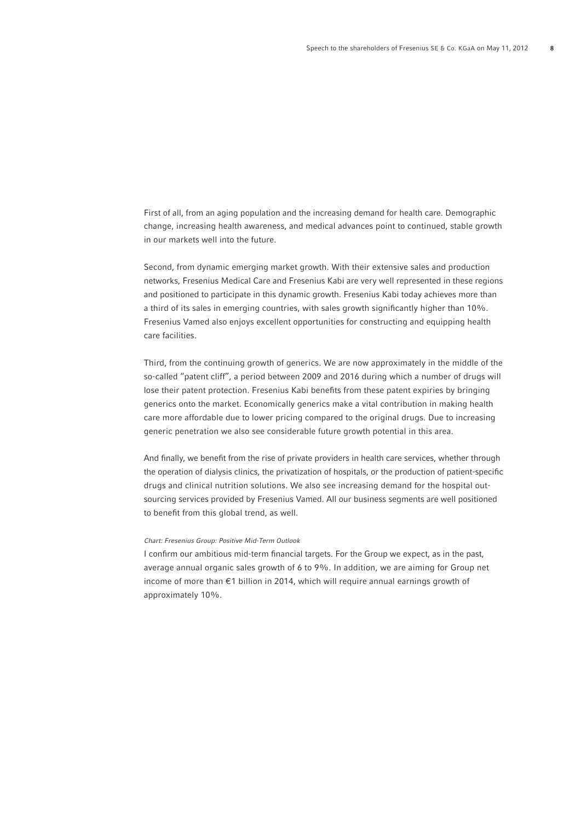First of all, from an aging population and the increasing demand for health care. Demographic change, increasing health awareness, and medical advances point to continued, stable growth in our markets well into the future.

Second, from dynamic emerging market growth. With their extensive sales and production networks, Fresenius Medical Care and Fresenius Kabi are very well represented in these regions and positioned to participate in this dynamic growth. Fresenius Kabi today achieves more than a third of its sales in emerging countries, with sales growth significantly higher than 10%. Fresenius Vamed also enjoys excellent opportunities for constructing and equipping health care facilities.

Third, from the continuing growth of generics. We are now approximately in the middle of the so-called "patent cliff", a period between 2009 and 2016 during which a number of drugs will lose their patent protection. Fresenius Kabi benefits from these patent expiries by bringing generics onto the market. Economically generics make a vital contribution in making health care more affordable due to lower pricing compared to the original drugs. Due to increasing generic penetration we also see considerable future growth potential in this area.

And finally, we benefit from the rise of private providers in health care services, whether through the operation of dialysis clinics, the privatization of hospitals, or the production of patient-specific drugs and clinical nutrition solutions. We also see increasing demand for the hospital outsourcing services provided by Fresenius Vamed. All our business segments are well positioned to benefit from this global trend, as well.

#### Chart: Fresenius Group: Positive Mid-Term Outlook

I confirm our ambitious mid-term financial targets. For the Group we expect, as in the past, average annual organic sales growth of 6 to 9%. In addition, we are aiming for Group net income of more than € 1 billion in 2014, which will require annual earnings growth of approximately 10%.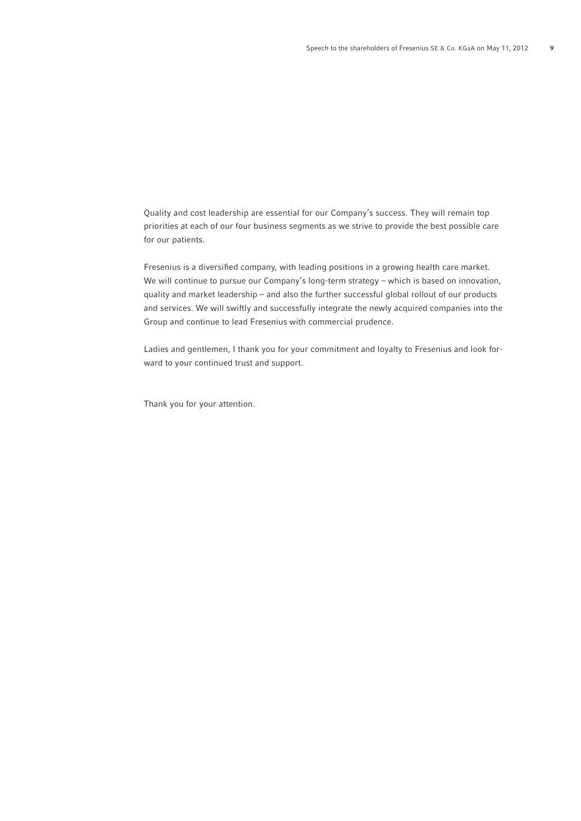Quality and cost leadership are essential for our Company's success. They will remain top priorities at each of our four business segments as we strive to provide the best possible care for our patients.

Fresenius is a diversified company, with leading positions in a growing health care market. We will continue to pursue our Company's long-term strategy – which is based on innovation, quality and market leadership – and also the further successful global rollout of our products and services. We will swiftly and successfully integrate the newly acquired companies into the Group and continue to lead Fresenius with commercial prudence.

Ladies and gentlemen, I thank you for your commitment and loyalty to Fresenius and look forward to your continued trust and support.

Thank you for your attention.